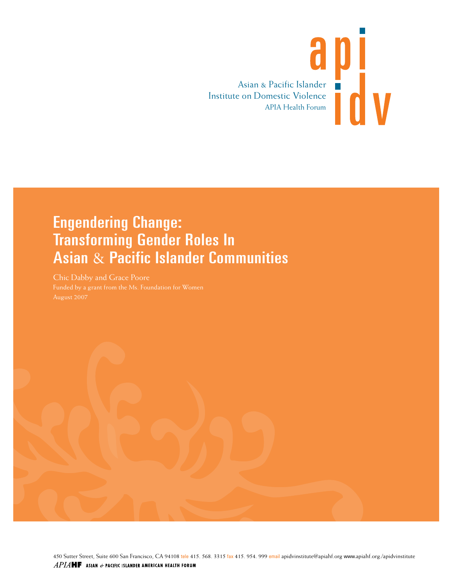

## Engendering Change: Transforming Gender Roles In Asian & Pacific Islander Communities

Chic Dabby and Grace Poore

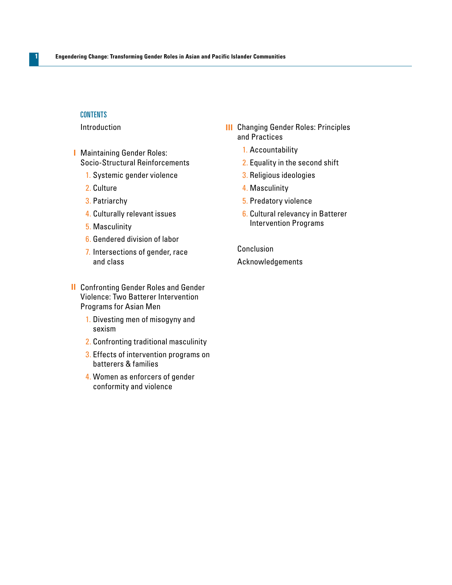#### **CONTENTS**

**1**

#### Introduction

- **I** Maintaining Gender Roles: Socio-Structural Reinforcements
	- 1. Systemic gender violence
	- 2. Culture
	- 3. Patriarchy
	- 4. Culturally relevant issues
	- 5. Masculinity
	- 6. Gendered division of labor
	- 7. Intersections of gender, race and class
- Confronting Gender Roles and Gender **II** Violence: Two Batterer Intervention Programs for Asian Men
	- 1. Divesting men of misogyny and sexism
	- 2. Confronting traditional masculinity
	- 3. Effects of intervention programs on batterers & families
	- 4. Women as enforcers of gender conformity and violence
- **III** Changing Gender Roles: Principles and Practices
	- 1. Accountability
	- 2. Equality in the second shift
	- 3. Religious ideologies
	- 4. Masculinity
	- 5. Predatory violence
	- 6. Cultural relevancy in Batterer Intervention Programs

Conclusion Acknowledgements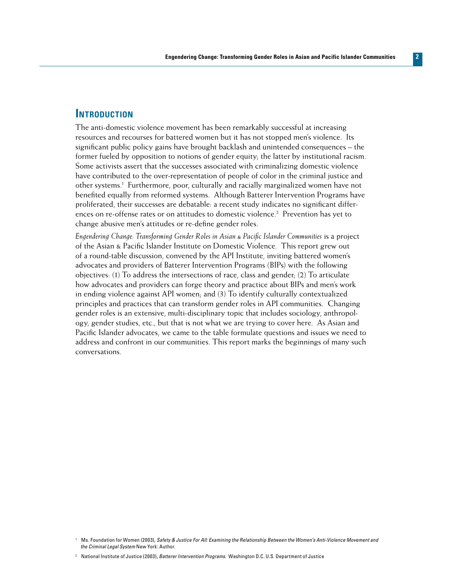#### **Introduction**

The anti-domestic violence movement has been remarkably successful at increasing resources and recourses for battered women but it has not stopped men's violence. Its significant public policy gains have brought backlash and unintended consequences – the former fueled by opposition to notions of gender equity; the latter by institutional racism. Some activists assert that the successes associated with criminalizing domestic violence have contributed to the over-representation of people of color in the criminal justice and other systems.<sup>1</sup> Furthermore, poor, culturally and racially marginalized women have not benefited equally from reformed systems. Although Batterer Intervention Programs have proliferated, their successes are debatable: a recent study indicates no significant differences on re-offense rates or on attitudes to domestic violence.<sup>2</sup> Prevention has yet to change abusive men's attitudes or re-define gender roles.

*Engendering Change: Transforming Gender Roles in Asian & Pacific Islander Communities* is a project of the Asian & Pacific Islander Institute on Domestic Violence. This report grew out of a round-table discussion, convened by the API Institute, inviting battered women's advocates and providers of Batterer Intervention Programs (BIPs) with the following objectives: (1) To address the intersections of race, class and gender; (2) To articulate how advocates and providers can forge theory and practice about BIPs and men's work in ending violence against API women; and (3) To identify culturally contextualized principles and practices that can transform gender roles in API communities. Changing gender roles is an extensive, multi-disciplinary topic that includes sociology, anthropology, gender studies, etc., but that is not what we are trying to cover here. As Asian and Pacific Islander advocates, we came to the table formulate questions and issues we need to address and confront in our communities. This report marks the beginnings of many such conversations.

<sup>1</sup> Ms. Foundation for Women (2003), *Safety & Justice For All: Examining the Relationship Between the Women's Anti-Violence Movement and the Criminal Legal System* New York: Author.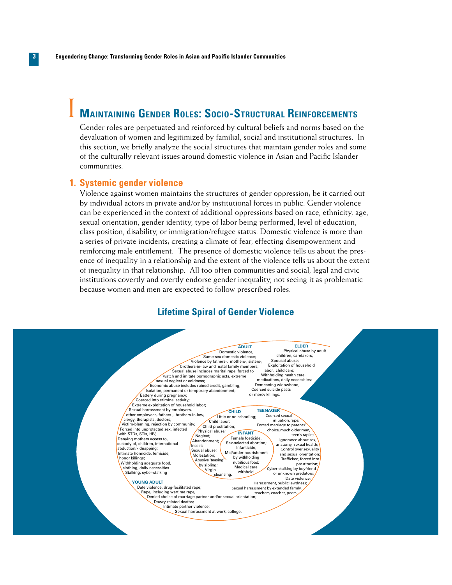### **Maintaining Gender Roles: Socio-Structural Reinforcements** I

Gender roles are perpetuated and reinforced by cultural beliefs and norms based on the devaluation of women and legitimized by familial, social and institutional structures. In this section, we briefly analyze the social structures that maintain gender roles and some of the culturally relevant issues around domestic violence in Asian and Pacific Islander communities.

#### **Systemic gender violence 1.**

Violence against women maintains the structures of gender oppression; be it carried out by individual actors in private and/or by institutional forces in public. Gender violence can be experienced in the context of additional oppressions based on race, ethnicity, age, sexual orientation, gender identity, type of labor being performed, level of education, class position, disability, or immigration/refugee status. Domestic violence is more than a series of private incidents; creating a climate of fear, effecting disempowerment and reinforcing male entitlement. The presence of domestic violence tells us about the presence of inequality in a relationship and the extent of the violence tells us about the extent of inequality in that relationship. All too often communities and social, legal and civic institutions covertly and overtly endorse gender inequality, not seeing it as problematic because women and men are expected to follow prescribed roles.

#### **Lifetime Spiral of Gender Violence**

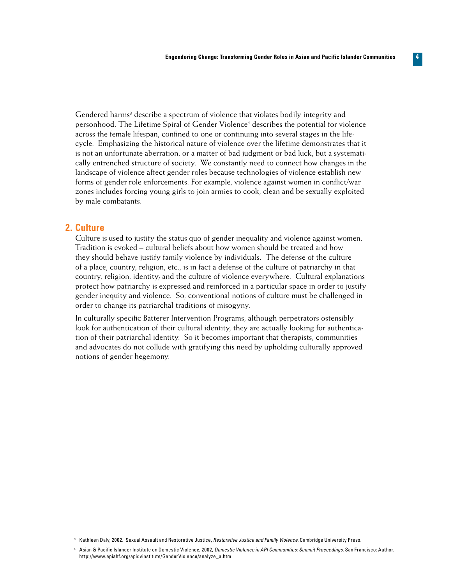Gendered harms<sup>3</sup> describe a spectrum of violence that violates bodily integrity and personhood. The Lifetime Spiral of Gender Violence<sup>4</sup> describes the potential for violence across the female lifespan, confined to one or continuing into several stages in the lifecycle. Emphasizing the historical nature of violence over the lifetime demonstrates that it is not an unfortunate aberration, or a matter of bad judgment or bad luck, but a systematically entrenched structure of society. We constantly need to connect how changes in the landscape of violence affect gender roles because technologies of violence establish new forms of gender role enforcements. For example, violence against women in conflict/war zones includes forcing young girls to join armies to cook, clean and be sexually exploited by male combatants.

#### **2. Culture**

Culture is used to justify the status quo of gender inequality and violence against women. Tradition is evoked – cultural beliefs about how women should be treated and how they should behave justify family violence by individuals. The defense of the culture of a place, country, religion, etc., is in fact a defense of the culture of patriarchy in that country, religion, identity; and the culture of violence everywhere. Cultural explanations protect how patriarchy is expressed and reinforced in a particular space in order to justify gender inequity and violence. So, conventional notions of culture must be challenged in order to change its patriarchal traditions of misogyny.

In culturally specific Batterer Intervention Programs, although perpetrators ostensibly look for authentication of their cultural identity, they are actually looking for authentication of their patriarchal identity. So it becomes important that therapists, communities and advocates do not collude with gratifying this need by upholding culturally approved notions of gender hegemony.

<sup>3</sup> Kathleen Daly, 2002. Sexual Assault and Restorative Justice, *Restorative Justice and Family Violence*, Cambridge University Press.

<sup>4</sup> Asian & Pacific Islander Institute on Domestic Violence, 2002, *Domestic Violence in API Communities: Summit Proceedings*. San Francisco: Author. http://www.apiahf.org/apidvinstitute/GenderViolence/analyze\_a.htm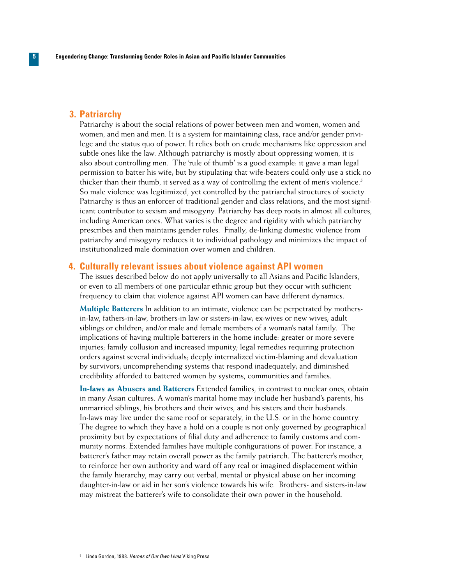#### **Patriarchy 3.**

**5**

Patriarchy is about the social relations of power between men and women, women and women, and men and men. It is a system for maintaining class, race and/or gender privilege and the status quo of power. It relies both on crude mechanisms like oppression and subtle ones like the law. Although patriarchy is mostly about oppressing women, it is also about controlling men. The 'rule of thumb' is a good example: it gave a man legal permission to batter his wife; but by stipulating that wife-beaters could only use a stick no thicker than their thumb, it served as a way of controlling the extent of men's violence.<sup>5</sup> So male violence was legitimized, yet controlled by the patriarchal structures of society. Patriarchy is thus an enforcer of traditional gender and class relations, and the most significant contributor to sexism and misogyny. Patriarchy has deep roots in almost all cultures, including American ones. What varies is the degree and rigidity with which patriarchy prescribes and then maintains gender roles. Finally, de-linking domestic violence from patriarchy and misogyny reduces it to individual pathology and minimizes the impact of institutionalized male domination over women and children.

#### **Culturally relevant issues about violence against API women 4.**

The issues described below do not apply universally to all Asians and Pacific Islanders, or even to all members of one particular ethnic group but they occur with sufficient frequency to claim that violence against API women can have different dynamics.

**Multiple Batterers** In addition to an intimate, violence can be perpetrated by mothersin-law, fathers-in-law, brothers-in law or sisters-in-law; ex-wives or new wives; adult siblings or children; and/or male and female members of a woman's natal family. The implications of having multiple batterers in the home include: greater or more severe injuries; family collusion and increased impunity; legal remedies requiring protection orders against several individuals; deeply internalized victim-blaming and devaluation by survivors; uncomprehending systems that respond inadequately; and diminished credibility afforded to battered women by systems, communities and families.

**In-laws as Abusers and Batterers** Extended families, in contrast to nuclear ones, obtain in many Asian cultures. A woman's marital home may include her husband's parents, his unmarried siblings, his brothers and their wives, and his sisters and their husbands. In-laws may live under the same roof or separately, in the U.S. or in the home country. The degree to which they have a hold on a couple is not only governed by geographical proximity but by expectations of filial duty and adherence to family customs and community norms. Extended families have multiple configurations of power. For instance, a batterer's father may retain overall power as the family patriarch. The batterer's mother, to reinforce her own authority and ward off any real or imagined displacement within the family hierarchy, may carry out verbal, mental or physical abuse on her incoming daughter-in-law or aid in her son's violence towards his wife. Brothers- and sisters-in-law may mistreat the batterer's wife to consolidate their own power in the household.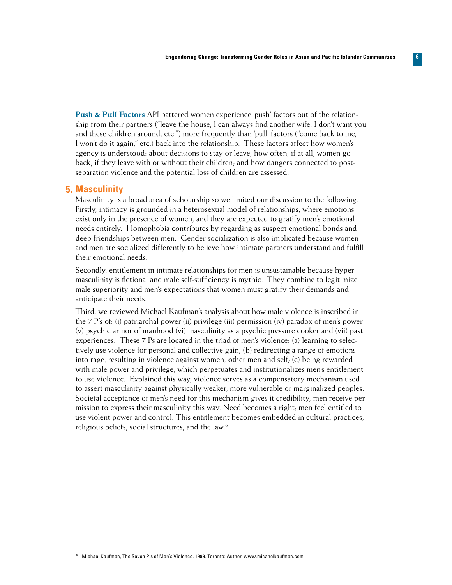**Push & Pull Factors** API battered women experience 'push' factors out of the relationship from their partners ("leave the house, I can always find another wife, I don't want you and these children around, etc.") more frequently than 'pull' factors ("come back to me, I won't do it again," etc.) back into the relationship. These factors affect how women's agency is understood: about decisions to stay or leave; how often, if at all, women go back; if they leave with or without their children; and how dangers connected to postseparation violence and the potential loss of children are assessed.

#### **Masculinity 5.**

Masculinity is a broad area of scholarship so we limited our discussion to the following. Firstly, intimacy is grounded in a heterosexual model of relationships, where emotions exist only in the presence of women, and they are expected to gratify men's emotional needs entirely. Homophobia contributes by regarding as suspect emotional bonds and deep friendships between men. Gender socialization is also implicated because women and men are socialized differently to believe how intimate partners understand and fulfill their emotional needs.

Secondly, entitlement in intimate relationships for men is unsustainable because hypermasculinity is fictional and male self-sufficiency is mythic. They combine to legitimize male superiority and men's expectations that women must gratify their demands and anticipate their needs.

Third, we reviewed Michael Kaufman's analysis about how male violence is inscribed in the 7 P's of: (i) patriarchal power (ii) privilege (iii) permission (iv) paradox of men's power (v) psychic armor of manhood (vi) masculinity as a psychic pressure cooker and (vii) past experiences. These 7 Ps are located in the triad of men's violence: (a) learning to selectively use violence for personal and collective gain; (b) redirecting a range of emotions into rage, resulting in violence against women, other men and self; (c) being rewarded with male power and privilege, which perpetuates and institutionalizes men's entitlement to use violence. Explained this way, violence serves as a compensatory mechanism used to assert masculinity against physically weaker, more vulnerable or marginalized peoples. Societal acceptance of men's need for this mechanism gives it credibility; men receive permission to express their masculinity this way. Need becomes a right; men feel entitled to use violent power and control. This entitlement becomes embedded in cultural practices, religious beliefs, social structures, and the law.<sup>6</sup>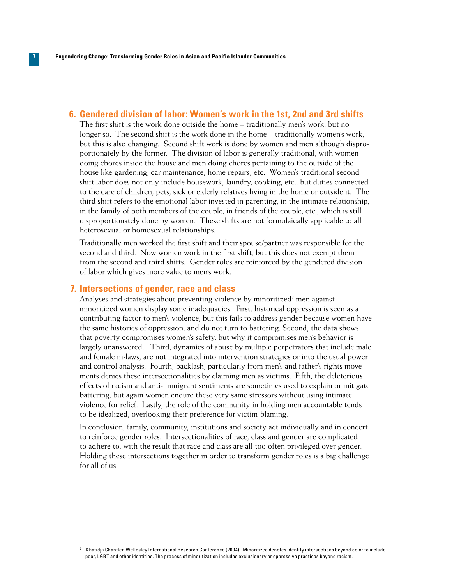#### **Gendered division of labor: Women's work in the 1st, 2nd and 3rd shifts 6.**

The first shift is the work done outside the home – traditionally men's work, but no longer so. The second shift is the work done in the home – traditionally women's work, but this is also changing. Second shift work is done by women and men although disproportionately by the former. The division of labor is generally traditional, with women doing chores inside the house and men doing chores pertaining to the outside of the house like gardening, car maintenance, home repairs, etc. Women's traditional second shift labor does not only include housework, laundry, cooking, etc., but duties connected to the care of children, pets, sick or elderly relatives living in the home or outside it. The third shift refers to the emotional labor invested in parenting, in the intimate relationship, in the family of both members of the couple, in friends of the couple, etc., which is still disproportionately done by women. These shifts are not formulaically applicable to all heterosexual or homosexual relationships.

Traditionally men worked the first shift and their spouse/partner was responsible for the second and third. Now women work in the first shift, but this does not exempt them from the second and third shifts. Gender roles are reinforced by the gendered division of labor which gives more value to men's work.

#### **Intersections of gender, race and class 7.**

Analyses and strategies about preventing violence by minoritized<sup>7</sup> men against minoritized women display some inadequacies. First, historical oppression is seen as a contributing factor to men's violence; but this fails to address gender because women have the same histories of oppression, and do not turn to battering. Second, the data shows that poverty compromises women's safety, but why it compromises men's behavior is largely unanswered. Third, dynamics of abuse by multiple perpetrators that include male and female in-laws, are not integrated into intervention strategies or into the usual power and control analysis. Fourth, backlash, particularly from men's and father's rights movements denies these intersectionalities by claiming men as victims. Fifth, the deleterious effects of racism and anti-immigrant sentiments are sometimes used to explain or mitigate battering, but again women endure these very same stressors without using intimate violence for relief. Lastly, the role of the community in holding men accountable tends to be idealized, overlooking their preference for victim-blaming.

In conclusion, family, community, institutions and society act individually and in concert to reinforce gender roles. Intersectionalities of race, class and gender are complicated to adhere to, with the result that race and class are all too often privileged over gender. Holding these intersections together in order to transform gender roles is a big challenge for all of us.

 $<sup>7</sup>$  Khatidja Chantler. Wellesley International Research Conference (2004). Minoritized denotes identity intersections beyond color to include</sup> poor, LGBT and other identities. The process of minoritization includes exclusionary or oppressive practices beyond racism.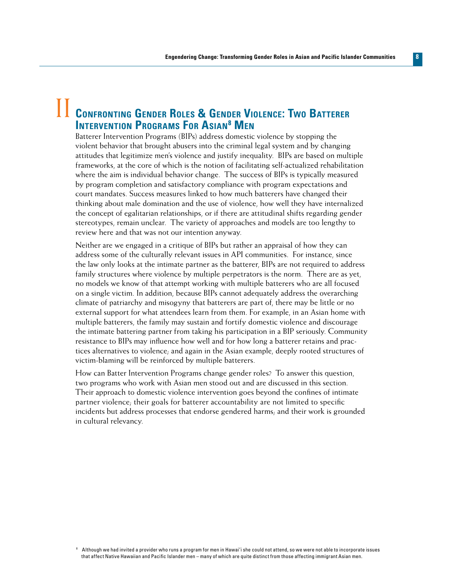## II **Confronting Gender Roles & Gender Violence: Two Batterer Intervention Programs For Asian8 Men**

Batterer Intervention Programs (BIPs) address domestic violence by stopping the violent behavior that brought abusers into the criminal legal system and by changing attitudes that legitimize men's violence and justify inequality. BIPs are based on multiple frameworks, at the core of which is the notion of facilitating self-actualized rehabilitation where the aim is individual behavior change. The success of BIPs is typically measured by program completion and satisfactory compliance with program expectations and court mandates. Success measures linked to how much batterers have changed their thinking about male domination and the use of violence, how well they have internalized the concept of egalitarian relationships, or if there are attitudinal shifts regarding gender stereotypes, remain unclear. The variety of approaches and models are too lengthy to review here and that was not our intention anyway.

Neither are we engaged in a critique of BIPs but rather an appraisal of how they can address some of the culturally relevant issues in API communities. For instance, since the law only looks at the intimate partner as the batterer, BIPs are not required to address family structures where violence by multiple perpetrators is the norm. There are as yet, no models we know of that attempt working with multiple batterers who are all focused on a single victim. In addition, because BIPs cannot adequately address the overarching climate of patriarchy and misogyny that batterers are part of, there may be little or no external support for what attendees learn from them. For example, in an Asian home with multiple batterers, the family may sustain and fortify domestic violence and discourage the intimate battering partner from taking his participation in a BIP seriously. Community resistance to BIPs may influence how well and for how long a batterer retains and practices alternatives to violence; and again in the Asian example, deeply rooted structures of victim-blaming will be reinforced by multiple batterers.

How can Batter Intervention Programs change gender roles? To answer this question, two programs who work with Asian men stood out and are discussed in this section. Their approach to domestic violence intervention goes beyond the confines of intimate partner violence; their goals for batterer accountability are not limited to specific incidents but address processes that endorse gendered harms; and their work is grounded in cultural relevancy.

<sup>8</sup> Although we had invited a provider who runs a program for men in Hawai'i she could not attend, so we were not able to incorporate issues that affect Native Hawaiian and Pacific Islander men – many of which are quite distinct from those affecting immigrant Asian men.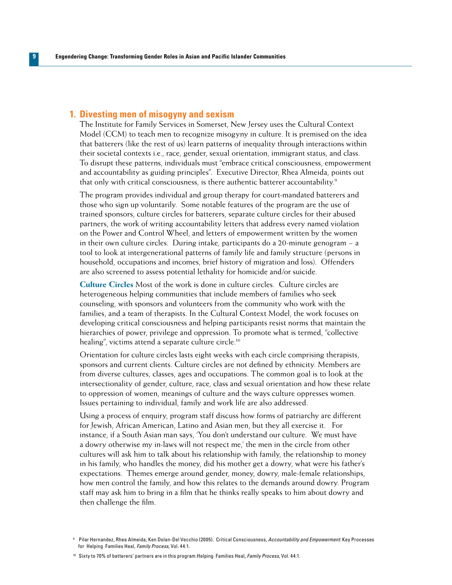#### **Divesting men of misogyny and sexism 1.**

**9**

The Institute for Family Services in Somerset, New Jersey uses the Cultural Context Model (CCM) to teach men to recognize misogyny in culture. It is premised on the idea that batterers (like the rest of us) learn patterns of inequality through interactions within their societal contexts i.e., race, gender, sexual orientation, immigrant status, and class. To disrupt these patterns, individuals must "embrace critical consciousness, empowerment and accountability as guiding principles". Executive Director, Rhea Almeida, points out that only with critical consciousness, is there authentic batterer accountability.<sup>9</sup>

The program provides individual and group therapy for court-mandated batterers and those who sign up voluntarily. Some notable features of the program are the use of trained sponsors, culture circles for batterers, separate culture circles for their abused partners, the work of writing accountability letters that address every named violation on the Power and Control Wheel, and letters of empowerment written by the women in their own culture circles. During intake, participants do a 20-minute genogram − a tool to look at intergenerational patterns of family life and family structure (persons in household, occupations and incomes, brief history of migration and loss). Offenders are also screened to assess potential lethality for homicide and/or suicide.

**Culture Circles** Most of the work is done in culture circles. Culture circles are heterogeneous helping communities that include members of families who seek counseling, with sponsors and volunteers from the community who work with the families, and a team of therapists. In the Cultural Context Model, the work focuses on developing critical consciousness and helping participants resist norms that maintain the hierarchies of power, privilege and oppression. To promote what is termed, "collective healing", victims attend a separate culture circle.<sup>10</sup>

Orientation for culture circles lasts eight weeks with each circle comprising therapists, sponsors and current clients. Culture circles are not defined by ethnicity. Members are from diverse cultures, classes, ages and occupations. The common goal is to look at the intersectionality of gender, culture, race, class and sexual orientation and how these relate to oppression of women, meanings of culture and the ways culture oppresses women. Issues pertaining to individual, family and work life are also addressed.

Using a process of enquiry, program staff discuss how forms of patriarchy are different for Jewish, African American, Latino and Asian men, but they all exercise it. For instance, if a South Asian man says, 'You don't understand our culture. We must have a dowry otherwise my in-laws will not respect me,' the men in the circle from other cultures will ask him to talk about his relationship with family, the relationship to money in his family, who handles the money, did his mother get a dowry, what were his father's expectations. Themes emerge around gender, money, dowry, male-female relationships, how men control the family, and how this relates to the demands around dowry. Program staff may ask him to bring in a film that he thinks really speaks to him about dowry and then challenge the film.

<sup>9</sup> Pilar Hernandez, Rhea Almeida, Ken Dolan-Del Vecchio (2005). Critical Consciousness, *Accountability and Empowerment:* Key Processes for Helping Families Heal, *Family Process*, Vol. 44:1.

<sup>10</sup> Sixty to 70% of batterers' partners are in this program.Helping Families Heal, *Family Process*, Vol. 44:1.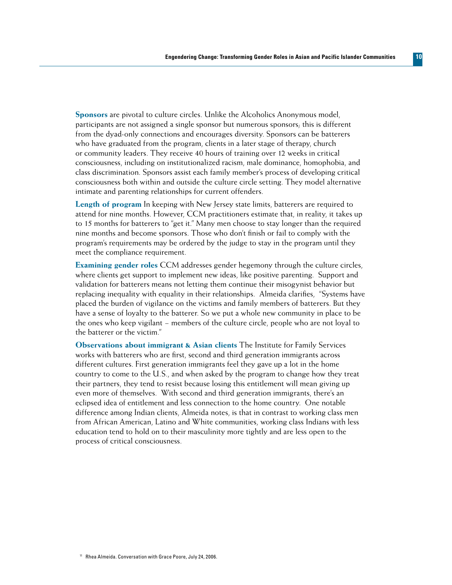**Sponsors** are pivotal to culture circles. Unlike the Alcoholics Anonymous model, participants are not assigned a single sponsor but numerous sponsors; this is different from the dyad-only connections and encourages diversity. Sponsors can be batterers who have graduated from the program, clients in a later stage of therapy, church or community leaders. They receive 40 hours of training over 12 weeks in critical consciousness, including on institutionalized racism, male dominance, homophobia, and class discrimination. Sponsors assist each family member's process of developing critical consciousness both within and outside the culture circle setting. They model alternative intimate and parenting relationships for current offenders.

**Length of program** In keeping with New Jersey state limits, batterers are required to attend for nine months. However, CCM practitioners estimate that, in reality, it takes up to 15 months for batterers to "get it." Many men choose to stay longer than the required nine months and become sponsors. Those who don't finish or fail to comply with the program's requirements may be ordered by the judge to stay in the program until they meet the compliance requirement.

**Examining gender roles** CCM addresses gender hegemony through the culture circles, where clients get support to implement new ideas, like positive parenting. Support and validation for batterers means not letting them continue their misogynist behavior but replacing inequality with equality in their relationships. Almeida clarifies, "Systems have placed the burden of vigilance on the victims and family members of batterers. But they have a sense of loyalty to the batterer. So we put a whole new community in place to be the ones who keep vigilant − members of the culture circle, people who are not loyal to the batterer or the victim."

**Observations about immigrant & Asian clients** The Institute for Family Services works with batterers who are first, second and third generation immigrants across different cultures. First generation immigrants feel they gave up a lot in the home country to come to the U.S., and when asked by the program to change how they treat their partners, they tend to resist because losing this entitlement will mean giving up even more of themselves. With second and third generation immigrants, there's an eclipsed idea of entitlement and less connection to the home country. One notable difference among Indian clients, Almeida notes, is that in contrast to working class men from African American, Latino and White communities, working class Indians with less education tend to hold on to their masculinity more tightly and are less open to the process of critical consciousness.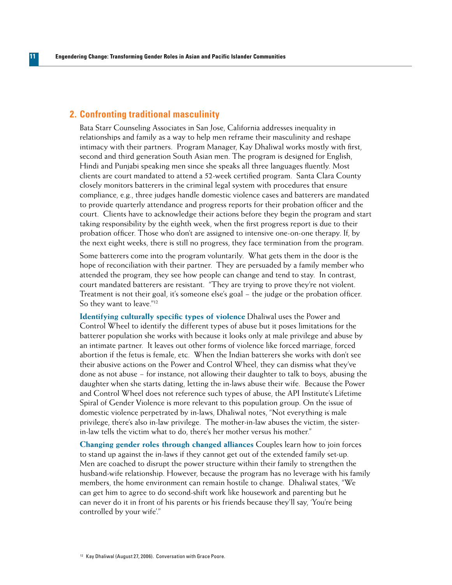#### **Confronting traditional masculinity 2.**

**11**

Bata Starr Counseling Associates in San Jose, California addresses inequality in relationships and family as a way to help men reframe their masculinity and reshape intimacy with their partners. Program Manager, Kay Dhaliwal works mostly with first, second and third generation South Asian men. The program is designed for English, Hindi and Punjabi speaking men since she speaks all three languages fluently. Most clients are court mandated to attend a 52-week certified program. Santa Clara County closely monitors batterers in the criminal legal system with procedures that ensure compliance, e.g., three judges handle domestic violence cases and batterers are mandated to provide quarterly attendance and progress reports for their probation officer and the court. Clients have to acknowledge their actions before they begin the program and start taking responsibility by the eighth week, when the first progress report is due to their probation officer. Those who don't are assigned to intensive one-on-one therapy. If, by the next eight weeks, there is still no progress, they face termination from the program.

Some batterers come into the program voluntarily. What gets them in the door is the hope of reconciliation with their partner. They are persuaded by a family member who attended the program, they see how people can change and tend to stay. In contrast, court mandated batterers are resistant. "They are trying to prove they're not violent. Treatment is not their goal, it's someone else's goal − the judge or the probation officer. So they want to leave."12

**Identifying culturally specific types of violence** Dhaliwal uses the Power and Control Wheel to identify the different types of abuse but it poses limitations for the batterer population she works with because it looks only at male privilege and abuse by an intimate partner. It leaves out other forms of violence like forced marriage, forced abortion if the fetus is female, etc. When the Indian batterers she works with don't see their abusive actions on the Power and Control Wheel, they can dismiss what they've done as not abuse − for instance, not allowing their daughter to talk to boys, abusing the daughter when she starts dating, letting the in-laws abuse their wife. Because the Power and Control Wheel does not reference such types of abuse, the API Institute's Lifetime Spiral of Gender Violence is more relevant to this population group. On the issue of domestic violence perpetrated by in-laws, Dhaliwal notes, "Not everything is male privilege, there's also in-law privilege. The mother-in-law abuses the victim, the sisterin-law tells the victim what to do, there's her mother versus his mother."

**Changing gender roles through changed alliances** Couples learn how to join forces to stand up against the in-laws if they cannot get out of the extended family set-up. Men are coached to disrupt the power structure within their family to strengthen the husband-wife relationship. However, because the program has no leverage with his family members, the home environment can remain hostile to change. Dhaliwal states, "We can get him to agree to do second-shift work like housework and parenting but he can never do it in front of his parents or his friends because they'll say, 'You're being controlled by your wife'."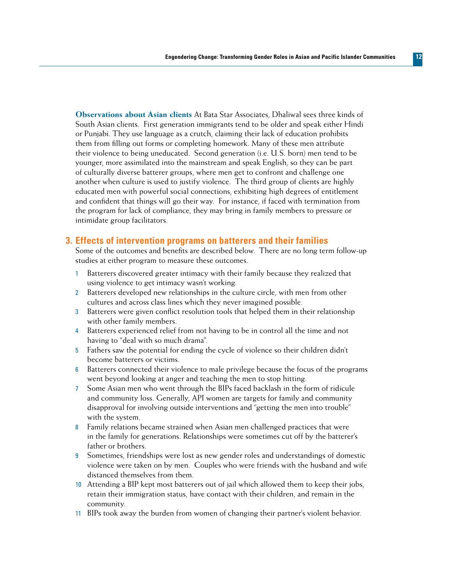**Observations about Asian clients** At Bata Star Associates, Dhaliwal sees three kinds of South Asian clients. First generation immigrants tend to be older and speak either Hindi or Punjabi. They use language as a crutch, claiming their lack of education prohibits them from filling out forms or completing homework. Many of these men attribute their violence to being uneducated. Second generation (i.e. U.S. born) men tend to be younger, more assimilated into the mainstream and speak English, so they can be part of culturally diverse batterer groups, where men get to confront and challenge one another when culture is used to justify violence. The third group of clients are highly educated men with powerful social connections, exhibiting high degrees of entitlement and confident that things will go their way. For instance, if faced with termination from the program for lack of compliance, they may bring in family members to pressure or intimidate group facilitators.

#### **Effects of intervention programs on batterers and their families 3.**

Some of the outcomes and benefits are described below. There are no long term follow-up studies at either program to measure these outcomes.

- 1 Batterers discovered greater intimacy with their family because they realized that using violence to get intimacy wasn't working.
- 2 Batterers developed new relationships in the culture circle, with men from other cultures and across class lines which they never imagined possible.
- 3 Batterers were given conflict resolution tools that helped them in their relationship with other family members.
- 4 Batterers experienced relief from not having to be in control all the time and not having to "deal with so much drama".
- 5 Fathers saw the potential for ending the cycle of violence so their children didn't become batterers or victims.
- 6 Batterers connected their violence to male privilege because the focus of the programs went beyond looking at anger and teaching the men to stop hitting.
- 7 Some Asian men who went through the BIPs faced backlash in the form of ridicule and community loss. Generally, API women are targets for family and community disapproval for involving outside interventions and "getting the men into trouble" with the system.
- 8 Family relations became strained when Asian men challenged practices that were in the family for generations. Relationships were sometimes cut off by the batterer's father or brothers.
- 9 Sometimes, friendships were lost as new gender roles and understandings of domestic violence were taken on by men. Couples who were friends with the husband and wife distanced themselves from them.
- 10 Attending a BIP kept most batterers out of jail which allowed them to keep their jobs, retain their immigration status, have contact with their children, and remain in the community.
- 11 BIPs took away the burden from women of changing their partner's violent behavior.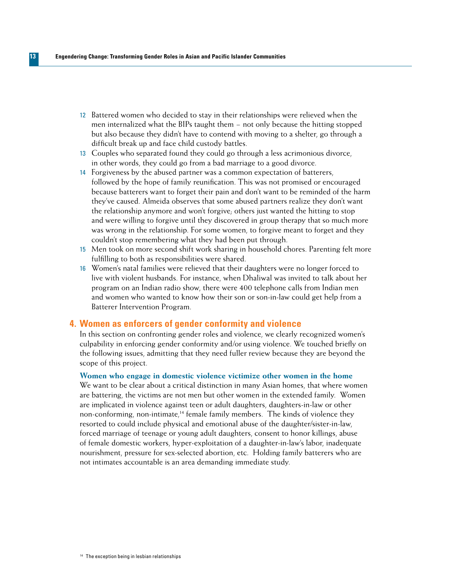- 12 Battered women who decided to stay in their relationships were relieved when the men internalized what the BIPs taught them − not only because the hitting stopped but also because they didn't have to contend with moving to a shelter, go through a difficult break up and face child custody battles.
- 13 Couples who separated found they could go through a less acrimonious divorce, in other words, they could go from a bad marriage to a good divorce.
- 14 Forgiveness by the abused partner was a common expectation of batterers, followed by the hope of family reunification. This was not promised or encouraged because batterers want to forget their pain and don't want to be reminded of the harm they've caused. Almeida observes that some abused partners realize they don't want the relationship anymore and won't forgive; others just wanted the hitting to stop and were willing to forgive until they discovered in group therapy that so much more was wrong in the relationship. For some women, to forgive meant to forget and they couldn't stop remembering what they had been put through.
- 15 Men took on more second shift work sharing in household chores. Parenting felt more fulfilling to both as responsibilities were shared.
- 16 Women's natal families were relieved that their daughters were no longer forced to live with violent husbands. For instance, when Dhaliwal was invited to talk about her program on an Indian radio show, there were 400 telephone calls from Indian men and women who wanted to know how their son or son-in-law could get help from a Batterer Intervention Program.

#### **Women as enforcers of gender conformity and violence 4.**

In this section on confronting gender roles and violence, we clearly recognized women's culpability in enforcing gender conformity and/or using violence. We touched briefly on the following issues, admitting that they need fuller review because they are beyond the scope of this project.

#### **Women who engage in domestic violence victimize other women in the home**

We want to be clear about a critical distinction in many Asian homes, that where women are battering, the victims are not men but other women in the extended family. Women are implicated in violence against teen or adult daughters, daughters-in-law or other non-conforming, non-intimate,<sup>14</sup> female family members. The kinds of violence they resorted to could include physical and emotional abuse of the daughter/sister-in-law, forced marriage of teenage or young adult daughters, consent to honor killings, abuse of female domestic workers, hyper-exploitation of a daughter-in-law's labor, inadequate nourishment, pressure for sex-selected abortion, etc. Holding family batterers who are not intimates accountable is an area demanding immediate study.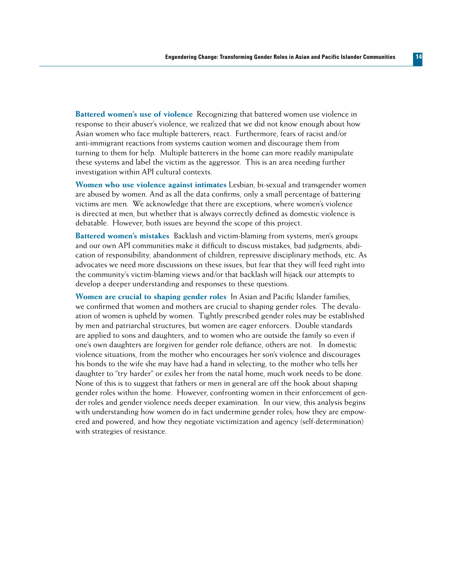**Battered women's use of violence** Recognizing that battered women use violence in response to their abuser's violence, we realized that we did not know enough about how Asian women who face multiple batterers, react. Furthermore, fears of racist and/or anti-immigrant reactions from systems caution women and discourage them from turning to them for help. Multiple batterers in the home can more readily manipulate these systems and label the victim as the aggressor. This is an area needing further investigation within API cultural contexts.

**Women who use violence against intimates** Lesbian, bi-sexual and transgender women are abused by women. And as all the data confirms, only a small percentage of battering victims are men. We acknowledge that there are exceptions, where women's violence is directed at men, but whether that is always correctly defined as domestic violence is debatable. However, both issues are beyond the scope of this project.

**Battered women's mistakes** Backlash and victim-blaming from systems, men's groups and our own API communities make it difficult to discuss mistakes, bad judgments, abdication of responsibility, abandonment of children, repressive disciplinary methods, etc. As advocates we need more discussions on these issues, but fear that they will feed right into the community's victim-blaming views and/or that backlash will hijack our attempts to develop a deeper understanding and responses to these questions.

**Women are crucial to shaping gender roles** In Asian and Pacific Islander families, we confirmed that women and mothers are crucial to shaping gender roles. The devaluation of women is upheld by women. Tightly prescribed gender roles may be established by men and patriarchal structures, but women are eager enforcers. Double standards are applied to sons and daughters, and to women who are outside the family so even if one's own daughters are forgiven for gender role defiance, others are not. In domestic violence situations, from the mother who encourages her son's violence and discourages his bonds to the wife she may have had a hand in selecting, to the mother who tells her daughter to "try harder" or exiles her from the natal home, much work needs to be done. None of this is to suggest that fathers or men in general are off the hook about shaping gender roles within the home. However, confronting women in their enforcement of gender roles and gender violence needs deeper examination. In our view, this analysis begins with understanding how women do in fact undermine gender roles; how they are empowered and powered, and how they negotiate victimization and agency (self-determination) with strategies of resistance.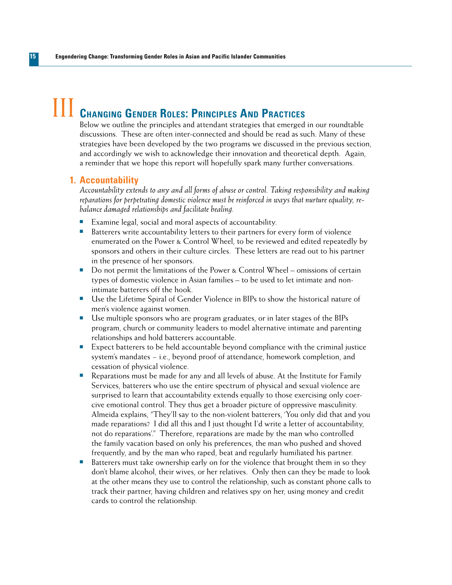# **CHANGING GENDER ROLES: PRINCIPLES AND PRACTICES**

Below we outline the principles and attendant strategies that emerged in our roundtable discussions. These are often inter-connected and should be read as such. Many of these strategies have been developed by the two programs we discussed in the previous section, and accordingly we wish to acknowledge their innovation and theoretical depth. Again, a reminder that we hope this report will hopefully spark many further conversations.

#### **Accountability 1.**

*Accountability extends to any and all forms of abuse or control. Taking responsibility and making reparations for perpetrating domestic violence must be reinforced in ways that nurture equality, rebalance damaged relationships and facilitate healing.* 

- Examine legal, social and moral aspects of accountability.
- **EXECUTE:** Batterers write accountability letters to their partners for every form of violence enumerated on the Power & Control Wheel, to be reviewed and edited repeatedly by sponsors and others in their culture circles. These letters are read out to his partner in the presence of her sponsors.
- Do not permit the limitations of the Power & Control Wheel omissions of certain types of domestic violence in Asian families – to be used to let intimate and nonintimate batterers off the hook.
- Use the Lifetime Spiral of Gender Violence in BIPs to show the historical nature of men's violence against women.
- Use multiple sponsors who are program graduates, or in later stages of the BIPs program, church or community leaders to model alternative intimate and parenting relationships and hold batterers accountable.
- **Expect batterers to be held accountable beyond compliance with the criminal justice** system's mandates – i.e., beyond proof of attendance, homework completion, and cessation of physical violence.
- $\blacksquare$  Reparations must be made for any and all levels of abuse. At the Institute for Family Services, batterers who use the entire spectrum of physical and sexual violence are surprised to learn that accountability extends equally to those exercising only coercive emotional control. They thus get a broader picture of oppressive masculinity. Almeida explains, "They'll say to the non-violent batterers, 'You only did that and you made reparations? I did all this and I just thought I'd write a letter of accountability, not do reparations'." Therefore, reparations are made by the man who controlled the family vacation based on only his preferences, the man who pushed and shoved frequently, and by the man who raped, beat and regularly humiliated his partner.
- Batterers must take ownership early on for the violence that brought them in so they don't blame alcohol, their wives, or her relatives. Only then can they be made to look at the other means they use to control the relationship, such as constant phone calls to track their partner, having children and relatives spy on her, using money and credit cards to control the relationship.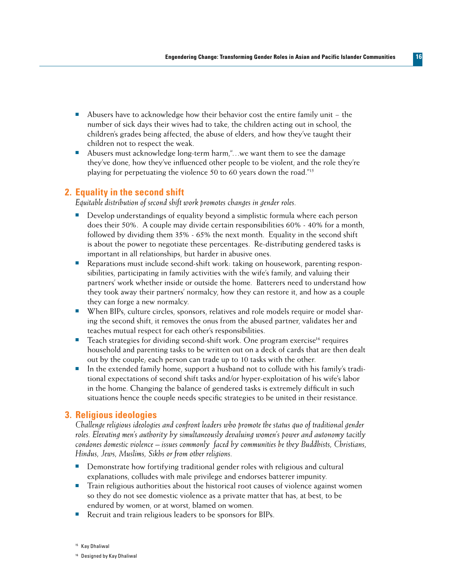- Abusers have to acknowledge how their behavior cost the entire family unit the number of sick days their wives had to take, the children acting out in school, the children's grades being affected, the abuse of elders, and how they've taught their children not to respect the weak.
- Abusers must acknowledge long-term harm,"...we want them to see the damage they've done, how they've influenced other people to be violent, and the role they're playing for perpetuating the violence 50 to 60 years down the road."15

#### **Equality in the second shift 2.**

*Equitable distribution of second shift work promotes changes in gender roles.*

- **•** Develop understandings of equality beyond a simplistic formula where each person does their 50%. A couple may divide certain responsibilities 60% - 40% for a month, followed by dividing them 35% - 65% the next month. Equality in the second shift is about the power to negotiate these percentages. Re-distributing gendered tasks is important in all relationships, but harder in abusive ones.
- **n** Reparations must include second-shift work: taking on housework, parenting responsibilities, participating in family activities with the wife's family, and valuing their partners' work whether inside or outside the home. Batterers need to understand how they took away their partners' normalcy, how they can restore it, and how as a couple they can forge a new normalcy.
- **Nen BIPs, culture circles, sponsors, relatives and role models require or model shar**ing the second shift, it removes the onus from the abused partner, validates her and teaches mutual respect for each other's responsibilities.
- **n** Teach strategies for dividing second-shift work. One program exercise<sup>16</sup> requires household and parenting tasks to be written out on a deck of cards that are then dealt out by the couple; each person can trade up to 10 tasks with the other.
- n the extended family home, support a husband not to collude with his family's traditional expectations of second shift tasks and/or hyper-exploitation of his wife's labor in the home. Changing the balance of gendered tasks is extremely difficult in such situations hence the couple needs specific strategies to be united in their resistance.

#### **Religious ideologies 3.**

*Challenge religious ideologies and confront leaders who promote the status quo of traditional gender roles. Elevating men's authority by simultaneously devaluing women's power and autonomy tacitly condones domestic violence – issues commonly faced by communities be they Buddhists, Christians, Hindus, Jews, Muslims, Sikhs or from other religions.* 

- **n** Demonstrate how fortifying traditional gender roles with religious and cultural explanations, colludes with male privilege and endorses batterer impunity.
- <sup>n</sup> Train religious authorities about the historical root causes of violence against women so they do not see domestic violence as a private matter that has, at best, to be endured by women, or at worst, blamed on women.
- Recruit and train religious leaders to be sponsors for BIPs.

<sup>15</sup> Kay Dhaliwal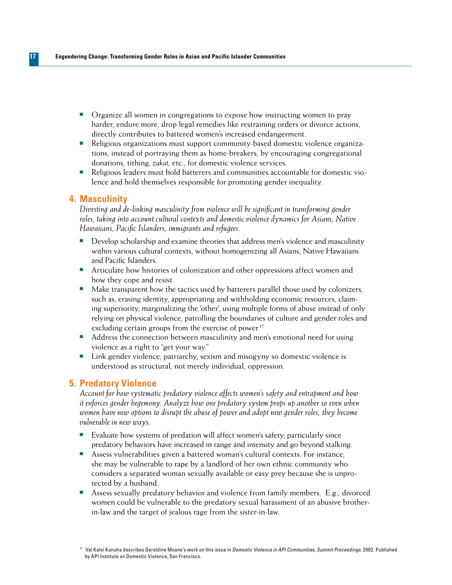- $\blacksquare$  Organize all women in congregations to expose how instructing women to pray harder, endure more, drop legal remedies like restraining orders or divorce actions, directly contributes to battered women's increased endangerment.
- n Religious organizations must support community-based domestic violence organizations, instead of portraying them as home-breakers, by encouraging congregational donations, tithing, *zakat*, etc., for domestic violence services.
- n Religious leaders must hold batterers and communities accountable for domestic violence and hold themselves responsible for promoting gender inequality.

#### **Masculinity 4.**

**17**

*Divesting and de-linking masculinity from violence will be significant in transforming gender roles, taking into account cultural contexts and domestic violence dynamics for Asians, Native Hawaiians, Pacific Islanders, immigrants and refugees.*

- $\blacksquare$  Develop scholarship and examine theories that address men's violence and masculinity within various cultural contexts, without homogenizing all Asians, Native Hawaiians and Pacific Islanders.
- n Articulate how histories of colonization and other oppressions affect women and how they cope and resist.
- $\blacksquare$  Make transparent how the tactics used by batterers parallel those used by colonizers, such as, erasing identity, appropriating and withholding economic resources, claiming superiority, marginalizing the 'other', using multiple forms of abuse instead of only relying on physical violence, patrolling the boundaries of culture and gender roles and excluding certain groups from the exercise of power.<sup>17</sup>
- Address the connection between masculinity and men's emotional need for using violence as a right to "get your way."
- $\blacksquare$  Link gender violence, patriarchy, sexism and misogyny so domestic violence is understood as structural, not merely individual, oppression.

#### **Predatory Violence 5.**

*Account for how systematic predatory violence affects women's safety and entrapment and how it enforces gender hegemony. Analyze how one predatory system props up another so even when women have new options to disrupt the abuse of power and adopt new gender roles, they become vulnerable in new ways.* 

- Evaluate how systems of predation will affect women's safety, particularly since predatory behaviors have increased in range and intensity and go beyond stalking.
- **EXECT** Assess vulnerabilities given a battered woman's cultural contexts. For instance, she may be vulnerable to rape by a landlord of her own ethnic community who considers a separated woman sexually available or easy prey because she is unprotected by a husband.
- **n** Assess sexually predatory behavior and violence from family members. E.g., divorced women could be vulnerable to the predatory sexual harassment of an abusive brotherin-law and the target of jealous rage from the sister-in-law.

<sup>17</sup> Val Kalei Kanuha describes Geraldine Moane's work on this issue in *Domestic Violence in API Communities, Summit Proceedings*. 2002. Published by API Institute on Domestic Violence, San Francisco.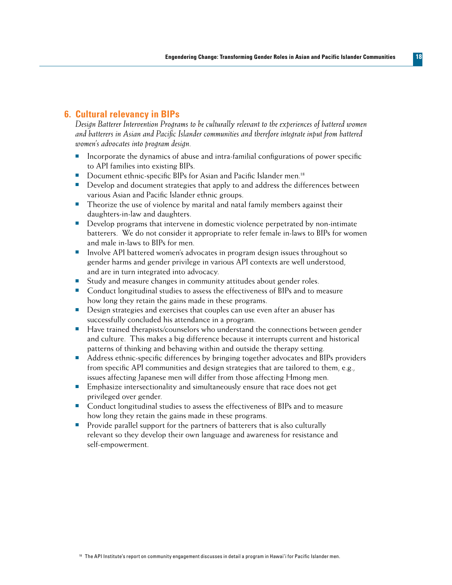#### **Cultural relevancy in BIPs 6.**

*Design Batterer Intervention Programs to be culturally relevant to the experiences of battered women and batterers in Asian and Pacific Islander communities and therefore integrate input from battered women's advocates into program design.* 

- Incorporate the dynamics of abuse and intra-familial configurations of power specific to API families into existing BIPs.
- Document ethnic-specific BIPs for Asian and Pacific Islander men.<sup>18</sup>
- **•** Develop and document strategies that apply to and address the differences between various Asian and Pacific Islander ethnic groups.
- **n** Theorize the use of violence by marital and natal family members against their daughters-in-law and daughters.
- **n** Develop programs that intervene in domestic violence perpetrated by non-intimate batterers. We do not consider it appropriate to refer female in-laws to BIPs for women and male in-laws to BIPs for men.
- n Involve API battered women's advocates in program design issues throughout so gender harms and gender privilege in various API contexts are well understood, and are in turn integrated into advocacy.
- Study and measure changes in community attitudes about gender roles.
- <sup>n</sup> Conduct longitudinal studies to assess the effectiveness of BIPs and to measure how long they retain the gains made in these programs.
- Design strategies and exercises that couples can use even after an abuser has successfully concluded his attendance in a program.
- Have trained therapists/counselors who understand the connections between gender and culture. This makes a big difference because it interrupts current and historical patterns of thinking and behaving within and outside the therapy setting.
- Address ethnic-specific differences by bringing together advocates and BIPs providers from specific API communities and design strategies that are tailored to them, e.g., issues affecting Japanese men will differ from those affecting Hmong men.
- **n** Emphasize intersectionality and simultaneously ensure that race does not get privileged over gender.
- Conduct longitudinal studies to assess the effectiveness of BIPs and to measure how long they retain the gains made in these programs.
- **n** Provide parallel support for the partners of batterers that is also culturally relevant so they develop their own language and awareness for resistance and self-empowerment.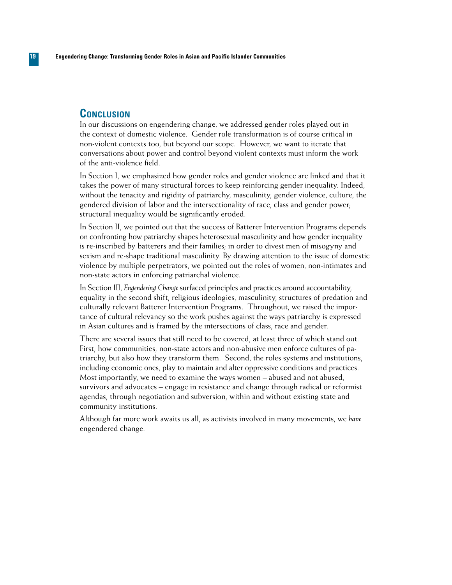#### **Conclusion**

In our discussions on engendering change, we addressed gender roles played out in the context of domestic violence. Gender role transformation is of course critical in non-violent contexts too, but beyond our scope. However, we want to iterate that conversations about power and control beyond violent contexts must inform the work of the anti-violence field.

In Section I, we emphasized how gender roles and gender violence are linked and that it takes the power of many structural forces to keep reinforcing gender inequality. Indeed, without the tenacity and rigidity of patriarchy, masculinity, gender violence, culture, the gendered division of labor and the intersectionality of race, class and gender power; structural inequality would be significantly eroded.

In Section II, we pointed out that the success of Batterer Intervention Programs depends on confronting how patriarchy shapes heterosexual masculinity and how gender inequality is re-inscribed by batterers and their families; in order to divest men of misogyny and sexism and re-shape traditional masculinity. By drawing attention to the issue of domestic violence by multiple perpetrators, we pointed out the roles of women, non-intimates and non-state actors in enforcing patriarchal violence.

In Section III, *Engendering Change* surfaced principles and practices around accountability, equality in the second shift, religious ideologies, masculinity, structures of predation and culturally relevant Batterer Intervention Programs. Throughout, we raised the importance of cultural relevancy so the work pushes against the ways patriarchy is expressed in Asian cultures and is framed by the intersections of class, race and gender.

There are several issues that still need to be covered, at least three of which stand out. First, how communities, non-state actors and non-abusive men enforce cultures of patriarchy, but also how they transform them. Second, the roles systems and institutions, including economic ones, play to maintain and alter oppressive conditions and practices. Most importantly, we need to examine the ways women – abused and not abused, survivors and advocates – engage in resistance and change through radical or reformist agendas, through negotiation and subversion, within and without existing state and community institutions.

Although far more work awaits us all, as activists involved in many movements, we *have*  engendered change.